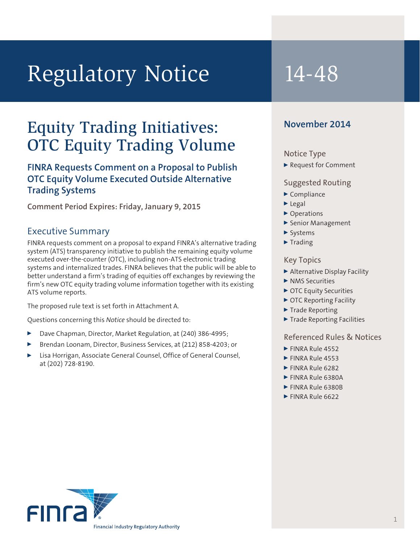# Regulatory Notice 14-48

## Equity Trading Initiatives: OTC Equity Trading Volume

### **FINRA Requests Comment on a Proposal to Publish OTC Equity Volume Executed Outside Alternative Trading Systems**

**Comment Period Expires: Friday, January 9, 2015**

#### Executive Summary

FINRA requests comment on a proposal to expand FINRA's alternative trading system (ATS) transparency initiative to publish the remaining equity volume executed over-the-counter (OTC), including non-ATS electronic trading systems and internalized trades. FINRA believes that the public will be able to better understand a firm's trading of equities off exchanges by reviewing the firm's new OTC equity trading volume information together with its existing ATS volume reports.

The proposed rule text is set forth in Attachment A.

Questions concerning this *Notice* should be directed to:

- Dave Chapman, Director, Market Regulation, at (240) 386-4995;
- <sup>0</sup> Brendan Loonam, Director, Business Services, at (212) 858-4203; or
- Lisa Horrigan, Associate General Counsel, Office of General Counsel, at (202) 728-8190.

#### **November 2014**

#### Notice Type

▶ Request for Comment

#### Suggested Routing

- $\blacktriangleright$  Compliance
- $\blacktriangleright$  Legal
- ▶ Operations
- <sup>0</sup> Senior Management
- $\blacktriangleright$  Systems
- $\blacktriangleright$  Trading

#### Key Topics

- <sup>0</sup> Alternative Display Facility
- $\blacktriangleright$  NMS Securities
- ▶ OTC Equity Securities
- ▶ OTC Reporting Facility
- $\blacktriangleright$  Trade Reporting
- ▶ Trade Reporting Facilities

#### Referenced Rules & Notices

- $\blacktriangleright$  FINRA Rule 4552
- $\blacktriangleright$  FINRA Rule 4553
- $\blacktriangleright$  FINRA Rule 6282
- FINRA Rule 6380A
- EINRA Rule 6380B
- $\blacktriangleright$  FINRA Rule 6622

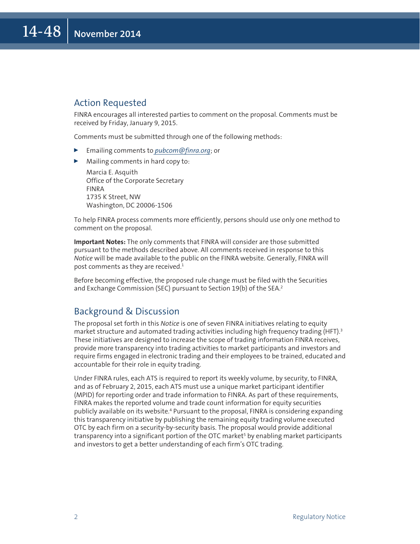#### Action Requested

FINRA encourages all interested parties to comment on the proposal. Comments must be received by Friday, January 9, 2015.

Comments must be submitted through one of the following methods:

- <sup>0</sup> Emailing comments to *[pubcom@finra.org](mailto:pubcom@finra.org)*; or
- $\blacktriangleright$  Mailing comments in hard copy to:

Marcia E. Asquith Office of the Corporate Secretary FINRA 1735 K Street, NW Washington, DC 20006-1506

To help FINRA process comments more efficiently, persons should use only one method to comment on the proposal.

**Important Notes:** The only comments that FINRA will consider are those submitted pursuant to the methods described above. All comments received in response to this *Notice* will be made available to the public on the FINRA website. Generally, FINRA will post comments as they are received. $1$ 

Before becoming effective, the proposed rule change must be filed with the Securities and Exchange Commission (SEC) pursuant to Section 19(b) of the SEA.<sup>2</sup>

#### Background & Discussion

The proposal set forth in this *Notice* is one of seven FINRA initiatives relating to equity market structure and automated trading activities including high frequency trading (HFT).<sup>3</sup> These initiatives are designed to increase the scope of trading information FINRA receives, provide more transparency into trading activities to market participants and investors and require firms engaged in electronic trading and their employees to be trained, educated and accountable for their role in equity trading.

Under FINRA rules, each ATS is required to report its weekly volume, by security, to FINRA, and as of February 2, 2015, each ATS must use a unique market participant identifier (MPID) for reporting order and trade information to FINRA. As part of these requirements, FINRA makes the reported volume and trade count information for equity securities publicly available on its website.4 Pursuant to the proposal, FINRA is considering expanding this transparency initiative by publishing the remaining equity trading volume executed OTC by each firm on a security-by-security basis. The proposal would provide additional transparency into a significant portion of the OTC market<sup>5</sup> by enabling market participants and investors to get a better understanding of each firm's OTC trading.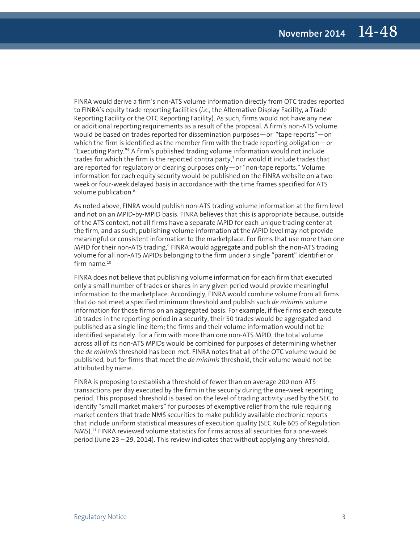FINRA would derive a firm's non-ATS volume information directly from OTC trades reported to FINRA's equity trade reporting facilities (*i.e.*, the Alternative Display Facility, a Trade Reporting Facility or the OTC Reporting Facility). As such, firms would not have any new or additional reporting requirements as a result of the proposal. A firm's non-ATS volume would be based on trades reported for dissemination purposes—or "tape reports"—on which the firm is identified as the member firm with the trade reporting obligation—or "Executing Party."6 A firm's published trading volume information would not include trades for which the firm is the reported contra party,<sup>7</sup> nor would it include trades that are reported for regulatory or clearing purposes only—or "non-tape reports." Volume information for each equity security would be published on the FINRA website on a twoweek or four-week delayed basis in accordance with the time frames specified for ATS volume publication.<sup>8</sup>

As noted above, FINRA would publish non-ATS trading volume information at the firm level and not on an MPID-by-MPID basis. FINRA believes that this is appropriate because, outside of the ATS context, not all firms have a separate MPID for each unique trading center at the firm, and as such, publishing volume information at the MPID level may not provide meaningful or consistent information to the marketplace. For firms that use more than one MPID for their non-ATS trading,<sup>9</sup> FINRA would aggregate and publish the non-ATS trading volume for all non-ATS MPIDs belonging to the firm under a single "parent" identifier or firm name.<sup>10</sup>

FINRA does not believe that publishing volume information for each firm that executed only a small number of trades or shares in any given period would provide meaningful information to the marketplace. Accordingly, FINRA would combine volume from all firms that do not meet a specified minimum threshold and publish such *de minimis* volume information for those firms on an aggregated basis. For example, if five firms each execute 10 trades in the reporting period in a security, their 50 trades would be aggregated and published as a single line item; the firms and their volume information would not be identified separately. For a firm with more than one non-ATS MPID, the total volume across all of its non-ATS MPIDs would be combined for purposes of determining whether the *de minimis* threshold has been met. FINRA notes that all of the OTC volume would be published, but for firms that meet the *de minimis* threshold, their volume would not be attributed by name.

FINRA is proposing to establish a threshold of fewer than on average 200 non-ATS transactions per day executed by the firm in the security during the one-week reporting period. This proposed threshold is based on the level of trading activity used by the SEC to identify "small market makers" for purposes of exemptive relief from the rule requiring market centers that trade NMS securities to make publicly available electronic reports that include uniform statistical measures of execution quality (SEC Rule 605 of Regulation NMS).11 FINRA reviewed volume statistics for firms across all securities for a one-week period (June 23 – 29, 2014). This review indicates that without applying any threshold,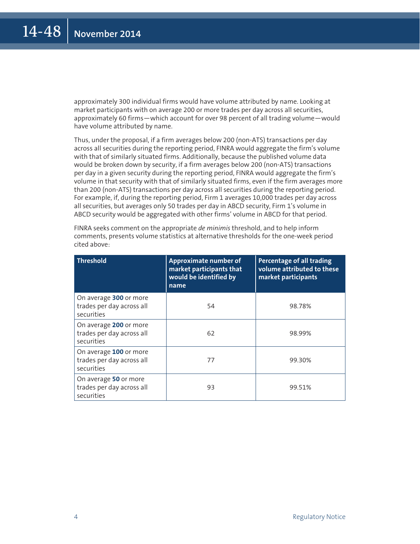approximately 300 individual firms would have volume attributed by name. Looking at market participants with on average 200 or more trades per day across all securities, approximately 60 firms—which account for over 98 percent of all trading volume—would have volume attributed by name.

Thus, under the proposal, if a firm averages below 200 (non-ATS) transactions per day across all securities during the reporting period, FINRA would aggregate the firm's volume with that of similarly situated firms. Additionally, because the published volume data would be broken down by security, if a firm averages below 200 (non-ATS) transactions per day in a given security during the reporting period, FINRA would aggregate the firm's volume in that security with that of similarly situated firms, even if the firm averages more than 200 (non-ATS) transactions per day across all securities during the reporting period. For example, if, during the reporting period, Firm 1 averages 10,000 trades per day across all securities, but averages only 50 trades per day in ABCD security, Firm 1's volume in ABCD security would be aggregated with other firms' volume in ABCD for that period.

| <b>Threshold</b>                                                  | Approximate number of<br>market participants that<br>would be identified by<br>name | Percentage of all trading<br>volume attributed to these<br>market participants |
|-------------------------------------------------------------------|-------------------------------------------------------------------------------------|--------------------------------------------------------------------------------|
| On average 300 or more<br>trades per day across all<br>securities | 54                                                                                  | 98.78%                                                                         |
| On average 200 or more<br>trades per day across all<br>securities | 62                                                                                  | 98.99%                                                                         |
| On average 100 or more<br>trades per day across all<br>securities | 77                                                                                  | 99.30%                                                                         |
| On average 50 or more<br>trades per day across all<br>securities  | 93                                                                                  | 99.51%                                                                         |

FINRA seeks comment on the appropriate *de minimis* threshold, and to help inform comments, presents volume statistics at alternative thresholds for the one-week period cited above: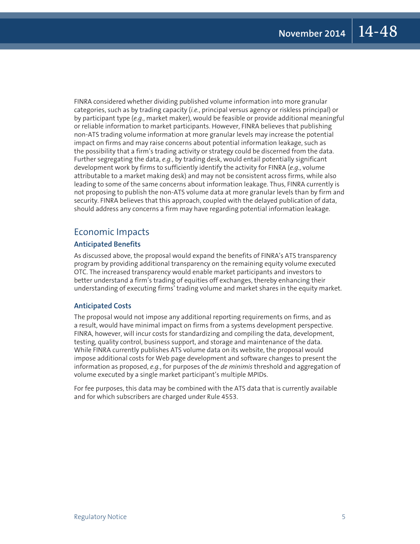FINRA considered whether dividing published volume information into more granular categories, such as by trading capacity (*i.e.*, principal versus agency or riskless principal) or by participant type (*e.g.*, market maker), would be feasible or provide additional meaningful or reliable information to market participants. However, FINRA believes that publishing non-ATS trading volume information at more granular levels may increase the potential impact on firms and may raise concerns about potential information leakage, such as the possibility that a firm's trading activity or strategy could be discerned from the data. Further segregating the data, *e.g.*, by trading desk, would entail potentially significant development work by firms to sufficiently identify the activity for FINRA (*e.g.*, volume attributable to a market making desk) and may not be consistent across firms, while also leading to some of the same concerns about information leakage. Thus, FINRA currently is not proposing to publish the non-ATS volume data at more granular levels than by firm and security. FINRA believes that this approach, coupled with the delayed publication of data, should address any concerns a firm may have regarding potential information leakage.

#### Economic Impacts

#### **Anticipated Benefits**

As discussed above, the proposal would expand the benefits of FINRA's ATS transparency program by providing additional transparency on the remaining equity volume executed OTC. The increased transparency would enable market participants and investors to better understand a firm's trading of equities off exchanges, thereby enhancing their understanding of executing firms' trading volume and market shares in the equity market.

#### **Anticipated Costs**

The proposal would not impose any additional reporting requirements on firms, and as a result, would have minimal impact on firms from a systems development perspective. FINRA, however, will incur costs for standardizing and compiling the data, development, testing, quality control, business support, and storage and maintenance of the data. While FINRA currently publishes ATS volume data on its website, the proposal would impose additional costs for Web page development and software changes to present the information as proposed, *e.g.*, for purposes of the *de minimis* threshold and aggregation of volume executed by a single market participant's multiple MPIDs.

For fee purposes, this data may be combined with the ATS data that is currently available and for which subscribers are charged under Rule 4553.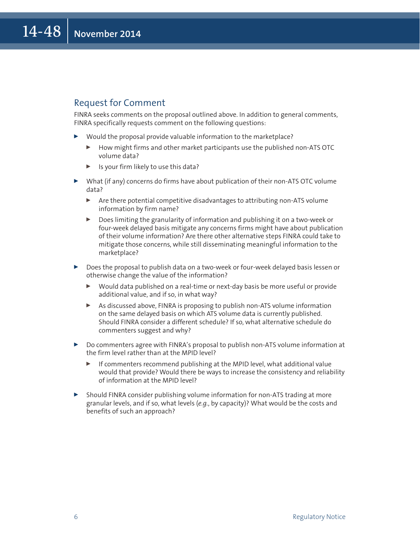#### Request for Comment

FINRA seeks comments on the proposal outlined above. In addition to general comments, FINRA specifically requests comment on the following questions:

- $\triangleright$  Would the proposal provide valuable information to the marketplace?
	- <sup>0</sup> How might firms and other market participants use the published non-ATS OTC volume data?
	- Is your firm likely to use this data?
- $\triangleright$  What (if any) concerns do firms have about publication of their non-ATS OTC volume data?
	- $\blacktriangleright$  Are there potential competitive disadvantages to attributing non-ATS volume information by firm name?
	- <sup>0</sup> Does limiting the granularity of information and publishing it on a two-week or four-week delayed basis mitigate any concerns firms might have about publication of their volume information? Are there other alternative steps FINRA could take to mitigate those concerns, while still disseminating meaningful information to the marketplace?
- Does the proposal to publish data on a two-week or four-week delayed basis lessen or otherwise change the value of the information?
	- $\triangleright$  Would data published on a real-time or next-day basis be more useful or provide additional value, and if so, in what way?
	- ▶ As discussed above, FINRA is proposing to publish non-ATS volume information on the same delayed basis on which ATS volume data is currently published. Should FINRA consider a different schedule? If so, what alternative schedule do commenters suggest and why?
- ▶ Do commenters agree with FINRA's proposal to publish non-ATS volume information at the firm level rather than at the MPID level?
	- If commenters recommend publishing at the MPID level, what additional value would that provide? Would there be ways to increase the consistency and reliability of information at the MPID level?
- $\triangleright$  Should FINRA consider publishing volume information for non-ATS trading at more granular levels, and if so, what levels (*e.g.*, by capacity)? What would be the costs and benefits of such an approach?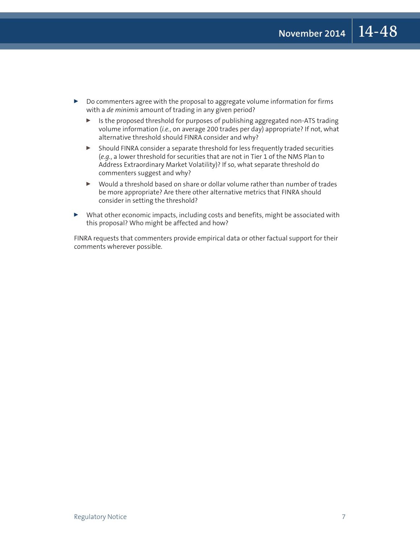- Do commenters agree with the proposal to aggregate volume information for firms with a *de minimis* amount of trading in any given period?
	- <sup>0</sup> Is the proposed threshold for purposes of publishing aggregated non-ATS trading volume information (*i.e.*, on average 200 trades per day) appropriate? If not, what alternative threshold should FINRA consider and why?
	- <sup>0</sup> Should FINRA consider a separate threshold for less frequently traded securities (*e.g.*, a lower threshold for securities that are not in Tier 1 of the NMS Plan to Address Extraordinary Market Volatility)? If so, what separate threshold do commenters suggest and why?
	- <sup>0</sup> Would a threshold based on share or dollar volume rather than number of trades be more appropriate? Are there other alternative metrics that FINRA should consider in setting the threshold?
- $\triangleright$  What other economic impacts, including costs and benefits, might be associated with this proposal? Who might be affected and how?

FINRA requests that commenters provide empirical data or other factual support for their comments wherever possible.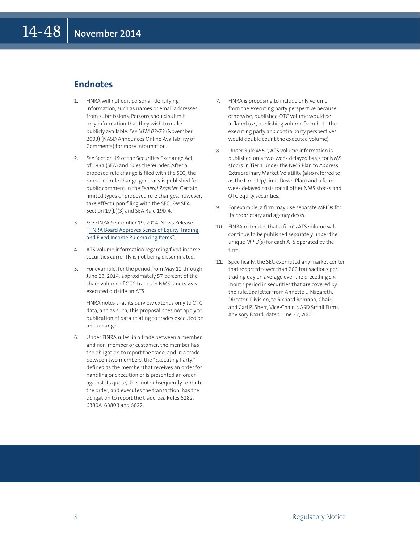#### **Endnotes**

- 1. FINRA will not edit personal identifying information, such as names or email addresses, from submissions. Persons should submit only information that they wish to make publicly available. *See NTM 03-73* (November 2003) (NASD Announces Online Availability of Comments) for more information.
- 2. *See* Section 19 of the Securities Exchange Act of 1934 (SEA) and rules thereunder. After a proposed rule change is filed with the SEC, the proposed rule change generally is published for public comment in the *Federal Register*. Certain limited types of proposed rule changes, however, take effect upon filing with the SEC. *See* SEA Section 19(b)(3) and SEA Rule 19b-4.
- 3. *See* FINRA September 19, 2014, News Release "[FINRA Board Approves Series of Equity Trading](http://www.finra.org/Newsroom/NewsReleases/2014/P600831)  [and Fixed Income Rulemaking Items](http://www.finra.org/Newsroom/NewsReleases/2014/P600831)".
- 4. ATS volume information regarding fixed income securities currently is not being disseminated.
- 5. For example, for the period from May 12 through June 23, 2014, approximately 57 percent of the share volume of OTC trades in NMS stocks was executed outside an ATS.

 FINRA notes that its purview extends only to OTC data, and as such, this proposal does not apply to publication of data relating to trades executed on an exchange.

6. Under FINRA rules, in a trade between a member and non-member or customer, the member has the obligation to report the trade, and in a trade between two members, the "Executing Party," defined as the member that receives an order for handling or execution or is presented an order against its quote, does not subsequently re-route the order, and executes the transaction, has the obligation to report the trade. *See* Rules 6282, 6380A, 6380B and 6622.

- 7. FINRA is proposing to include only volume from the executing party perspective because otherwise, published OTC volume would be inflated (*i.e.*, publishing volume from both the executing party and contra party perspectives would double count the executed volume).
- 8. Under Rule 4552, ATS volume information is published on a two-week delayed basis for NMS stocks in Tier 1 under the NMS Plan to Address Extraordinary Market Volatility (also referred to as the Limit Up/Limit Down Plan) and a fourweek delayed basis for all other NMS stocks and OTC equity securities.
- 9. For example, a firm may use separate MPIDs for its proprietary and agency desks.
- 10. FINRA reiterates that a firm's ATS volume will continue to be published separately under the unique MPID(s) for each ATS operated by the firm.
- 11. Specifically, the SEC exempted any market center that reported fewer than 200 transactions per trading day on average over the preceding six month period in securities that are covered by the rule. *See* letter from Annette L. Nazareth, Director, Division, to Richard Romano, Chair, and Carl P. Sherr, Vice-Chair, NASD Small Firms Advisory Board, dated June 22, 2001.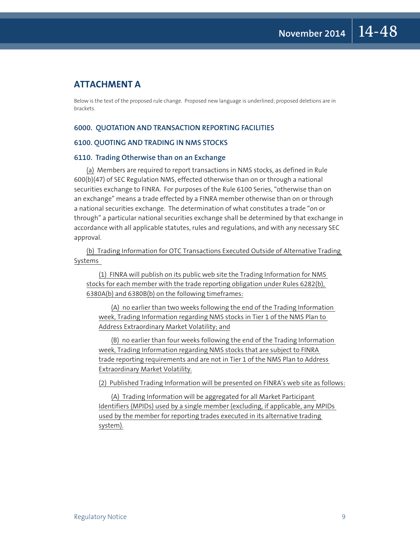#### **ATTACHMENT A**

Below is the text of the proposed rule change. Proposed new language is underlined; proposed deletions are in brackets.

#### **6000. QUOTATION AND TRANSACTION REPORTING FACILITIES**

#### **6100. QUOTING AND TRADING IN NMS STOCKS**

#### **6110. Trading Otherwise than on an Exchange**

(a) Members are required to report transactions in NMS stocks, as defined in Rule 600(b)(47) of SEC Regulation NMS, effected otherwise than on or through a national securities exchange to FINRA. For purposes of the Rule 6100 Series, "otherwise than on an exchange" means a trade effected by a FINRA member otherwise than on or through a national securities exchange. The determination of what constitutes a trade "on or through" a particular national securities exchange shall be determined by that exchange in accordance with all applicable statutes, rules and regulations, and with any necessary SEC approval.

(b) Trading Information for OTC Transactions Executed Outside of Alternative Trading Systems

(1) FINRA will publish on its public web site the Trading Information for NMS stocks for each member with the trade reporting obligation under Rules 6282(b), 6380A(b) and 6380B(b) on the following timeframes:

(A) no earlier than two weeks following the end of the Trading Information week, Trading Information regarding NMS stocks in Tier 1 of the NMS Plan to Address Extraordinary Market Volatility; and

(B) no earlier than four weeks following the end of the Trading Information week, Trading Information regarding NMS stocks that are subject to FINRA trade reporting requirements and are not in Tier 1 of the NMS Plan to Address Extraordinary Market Volatility.

(2) Published Trading Information will be presented on FINRA's web site as follows:

(A) Trading Information will be aggregated for all Market Participant Identifiers (MPIDs) used by a single member (excluding, if applicable, any MPIDs used by the member for reporting trades executed in its alternative trading system).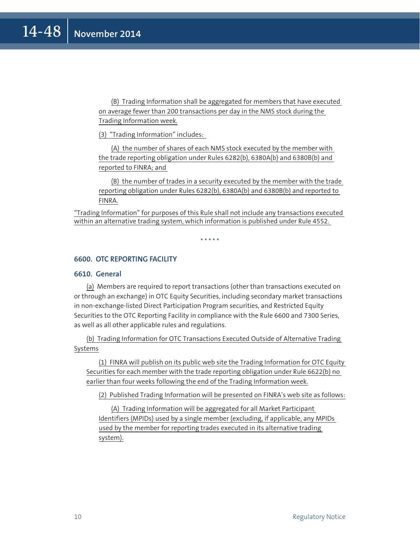(B) Trading Information shall be aggregated for members that have executed on average fewer than 200 transactions per day in the NMS stock during the Trading Information week.

(3) "Trading Information" includes:

(A) the number of shares of each NMS stock executed by the member with the trade reporting obligation under Rules 6282(b), 6380A(b) and 6380B(b) and reported to FINRA; and

(B) the number of trades in a security executed by the member with the trade reporting obligation under Rules 6282(b), 6380A(b) and 6380B(b) and reported to FINRA.

"Trading Information" for purposes of this Rule shall not include any transactions executed within an alternative trading system, which information is published under Rule 4552.

\* \* \* \* \*

**6600. OTC REPORTING FACILITY**

#### **6610. General**

(a) Members are required to report transactions (other than transactions executed on or through an exchange) in OTC Equity Securities, including secondary market transactions in non-exchange-listed Direct Participation Program securities, and Restricted Equity Securities to the OTC Reporting Facility in compliance with the Rule 6600 and 7300 Series, as well as all other applicable rules and regulations.

(b) Trading Information for OTC Transactions Executed Outside of Alternative Trading Systems

(1) FINRA will publish on its public web site the Trading Information for OTC Equity Securities for each member with the trade reporting obligation under Rule 6622(b) no earlier than four weeks following the end of the Trading Information week.

(2) Published Trading Information will be presented on FINRA's web site as follows:

(A) Trading Information will be aggregated for all Market Participant Identifiers (MPIDs) used by a single member (excluding, if applicable, any MPIDs used by the member for reporting trades executed in its alternative trading system).